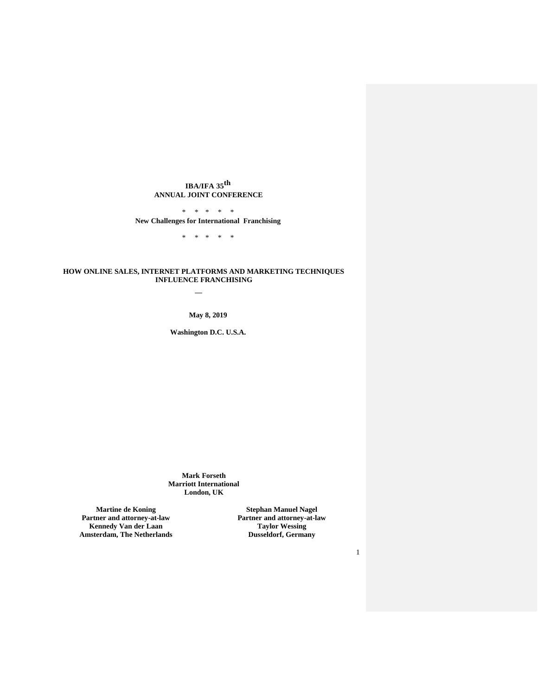# **IBA/IFA 35 th ANNUAL JOINT CONFERENCE**

\* \* \* \* \* **New Challenges for International Franchising**

\* \* \* \* \*

### **HOW ONLINE SALES, INTERNET PLATFORMS AND MARKETING TECHNIQUES INFLUENCE FRANCHISING**

**May 8, 2019**

**Washington D.C. U.S.A.**

**Mark Forseth Marriott International London, UK**

**Martine de Koning Partner and attorney-at-law Kennedy Van der Laan Amsterdam, The Netherlands**

**Stephan Manuel Nagel Partner and attorney-at-law Taylor Wessing Dusseldorf, Germany**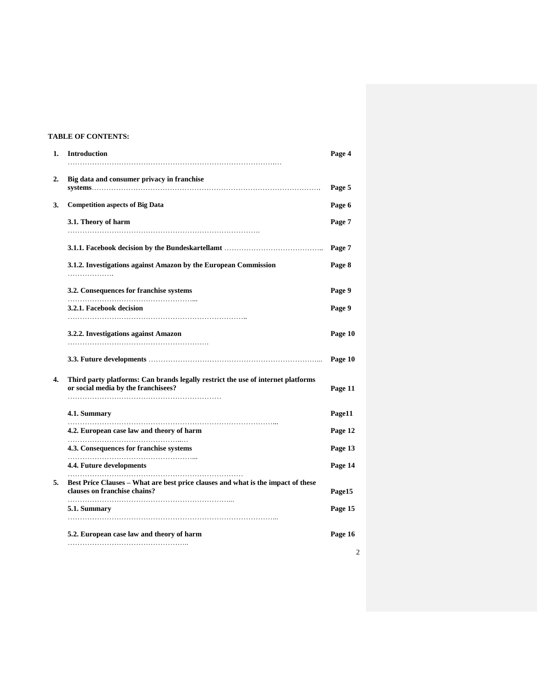# **TABLE OF CONTENTS:**

| 1. | <b>Introduction</b>                                                                                                     | Page 4  |
|----|-------------------------------------------------------------------------------------------------------------------------|---------|
| 2. | Big data and consumer privacy in franchise                                                                              | Page 5  |
| 3. | <b>Competition aspects of Big Data</b>                                                                                  | Page 6  |
|    | 3.1. Theory of harm                                                                                                     | Page 7  |
|    |                                                                                                                         | Page 7  |
|    | 3.1.2. Investigations against Amazon by the European Commission<br>.                                                    | Page 8  |
|    | 3.2. Consequences for franchise systems                                                                                 | Page 9  |
|    | 3.2.1. Facebook decision                                                                                                | Page 9  |
|    | 3.2.2. Investigations against Amazon                                                                                    | Page 10 |
|    |                                                                                                                         | Page 10 |
| 4. | Third party platforms: Can brands legally restrict the use of internet platforms<br>or social media by the franchisees? | Page 11 |
|    | 4.1. Summary                                                                                                            | Page11  |
|    | 4.2. European case law and theory of harm                                                                               | Page 12 |
|    | 4.3. Consequences for franchise systems                                                                                 | Page 13 |
|    | 4.4. Future developments                                                                                                | Page 14 |
| 5. | Best Price Clauses - What are best price clauses and what is the impact of these<br>clauses on franchise chains?        | Page15  |
|    | 5.1. Summary                                                                                                            | Page 15 |
|    | 5.2. European case law and theory of harm                                                                               | Page 16 |
|    |                                                                                                                         | 2       |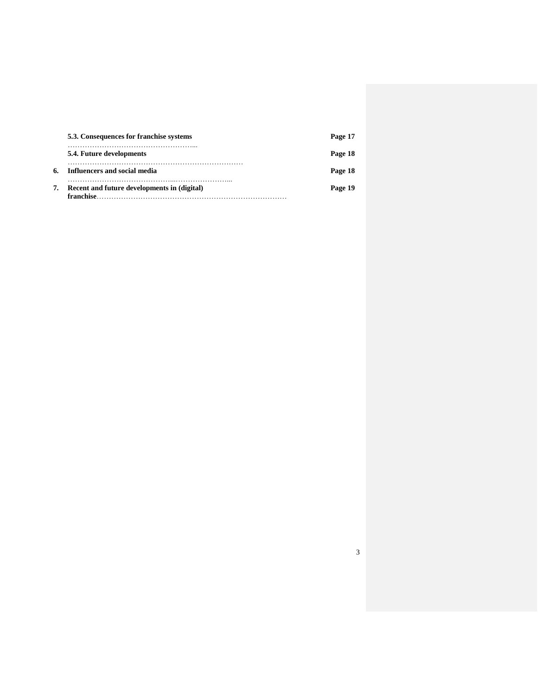| 5.3. Consequences for franchise systems                  | Page 17 |
|----------------------------------------------------------|---------|
| 5.4. Future developments                                 | Page 18 |
| 6. Influencers and social media                          | Page 18 |
| Recent and future developments in (digital)<br>franchise | Page 19 |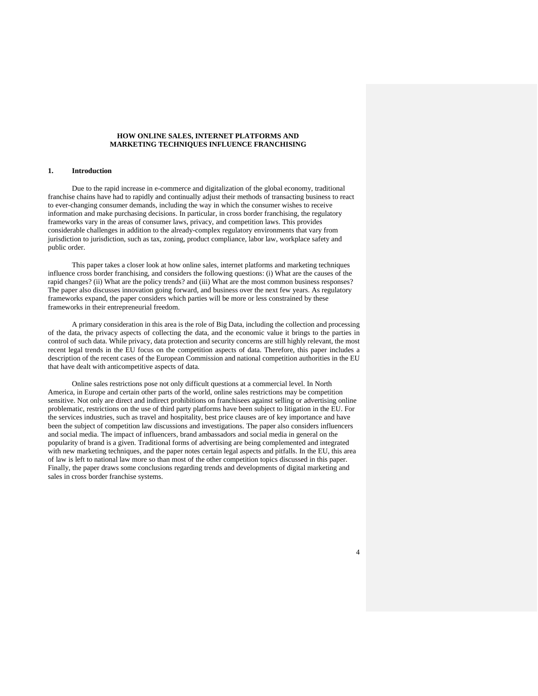#### **HOW ONLINE SALES, INTERNET PLATFORMS AND MARKETING TECHNIQUES INFLUENCE FRANCHISING**

### **1. Introduction**

Due to the rapid increase in e-commerce and digitalization of the global economy, traditional franchise chains have had to rapidly and continually adjust their methods of transacting business to react to ever-changing consumer demands, including the way in which the consumer wishes to receive information and make purchasing decisions. In particular, in cross border franchising, the regulatory frameworks vary in the areas of consumer laws, privacy, and competition laws. This provides considerable challenges in addition to the already-complex regulatory environments that vary from jurisdiction to jurisdiction, such as tax, zoning, product compliance, labor law, workplace safety and public order.

This paper takes a closer look at how online sales, internet platforms and marketing techniques influence cross border franchising, and considers the following questions: (i) What are the causes of the rapid changes? (ii) What are the policy trends? and (iii) What are the most common business responses? The paper also discusses innovation going forward, and business over the next few years. As regulatory frameworks expand, the paper considers which parties will be more or less constrained by these frameworks in their entrepreneurial freedom.

A primary consideration in this area is the role of Big Data, including the collection and processing of the data, the privacy aspects of collecting the data, and the economic value it brings to the parties in control of such data. While privacy, data protection and security concerns are still highly relevant, the most recent legal trends in the EU focus on the competition aspects of data. Therefore, this paper includes a description of the recent cases of the European Commission and national competition authorities in the EU that have dealt with anticompetitive aspects of data.

Online sales restrictions pose not only difficult questions at a commercial level. In North America, in Europe and certain other parts of the world, online sales restrictions may be competition sensitive. Not only are direct and indirect prohibitions on franchisees against selling or advertising online problematic, restrictions on the use of third party platforms have been subject to litigation in the EU. For the services industries, such as travel and hospitality, best price clauses are of key importance and have been the subject of competition law discussions and investigations. The paper also considers influencers and social media. The impact of influencers, brand ambassadors and social media in general on the popularity of brand is a given. Traditional forms of advertising are being complemented and integrated with new marketing techniques, and the paper notes certain legal aspects and pitfalls. In the EU, this area of law is left to national law more so than most of the other competition topics discussed in this paper. Finally, the paper draws some conclusions regarding trends and developments of digital marketing and sales in cross border franchise systems.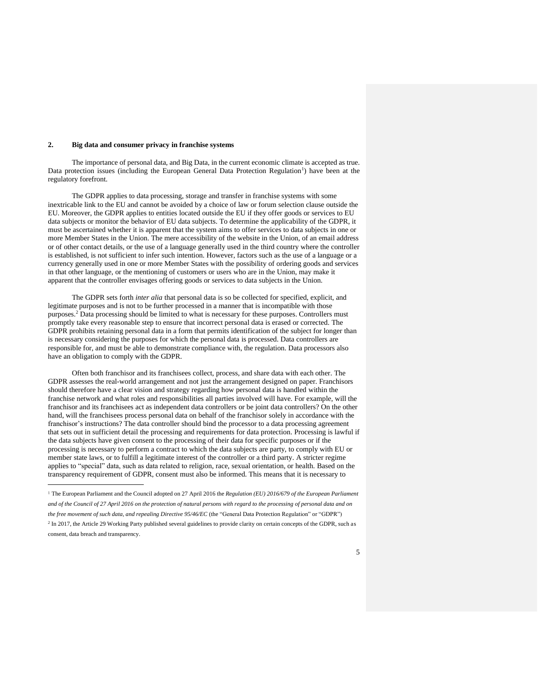### **2. Big data and consumer privacy in franchise systems**

 $\overline{a}$ 

The importance of personal data, and Big Data, in the current economic climate is accepted as true. Data protection issues (including the European General Data Protection Regulation<sup>1</sup>) have been at the regulatory forefront.

The GDPR applies to data processing, storage and transfer in franchise systems with some inextricable link to the EU and cannot be avoided by a choice of law or forum selection clause outside the EU. Moreover, the GDPR applies to entities located outside the EU if they offer goods or services to EU data subjects or monitor the behavior of EU data subjects. To determine the applicability of the GDPR, it must be ascertained whether it is apparent that the system aims to offer services to data subjects in one or more Member States in the Union. The mere accessibility of the website in the Union, of an email address or of other contact details, or the use of a language generally used in the third country where the controller is established, is not sufficient to infer such intention. However, factors such as the use of a language or a currency generally used in one or more Member States with the possibility of ordering goods and services in that other language, or the mentioning of customers or users who are in the Union, may make it apparent that the controller envisages offering goods or services to data subjects in the Union.

The GDPR sets forth *inter alia* that personal data is so be collected for specified, explicit, and legitimate purposes and is not to be further processed in a manner that is incompatible with those purposes.<sup>2</sup> Data processing should be limited to what is necessary for these purposes. Controllers must promptly take every reasonable step to ensure that incorrect personal data is erased or corrected. The GDPR prohibits retaining personal data in a form that permits identification of the subject for longer than is necessary considering the purposes for which the personal data is processed. Data controllers are responsible for, and must be able to demonstrate compliance with, the regulation. Data processors also have an obligation to comply with the GDPR.

Often both franchisor and its franchisees collect, process, and share data with each other. The GDPR assesses the real-world arrangement and not just the arrangement designed on paper. Franchisors should therefore have a clear vision and strategy regarding how personal data is handled within the franchise network and what roles and responsibilities all parties involved will have. For example, will the franchisor and its franchisees act as independent data controllers or be joint data controllers? On the other hand, will the franchisees process personal data on behalf of the franchisor solely in accordance with the franchisor's instructions? The data controller should bind the processor to a data processing agreement that sets out in sufficient detail the processing and requirements for data protection. Processing is lawful if the data subjects have given consent to the processing of their data for specific purposes or if the processing is necessary to perform a contract to which the data subjects are party, to comply with EU or member state laws, or to fulfill a legitimate interest of the controller or a third party. A stricter regime applies to "special" data, such as data related to religion, race, sexual orientation, or health. Based on the transparency requirement of GDPR, consent must also be informed. This means that it is necessary to

<sup>1</sup> The European Parliament and the Council adopted on 27 April 2016 the *Regulation (EU) 2016/679 of the European Parliament* and of the Council of 27 April 2016 on the protection of natural persons with regard to the processing of personal data and on *the free movement of such data, and repealing Directive 95/46/EC* (the "General Data Protection Regulation" or "GDPR") <sup>2</sup> In 2017, the Article 29 Working Party published several guidelines to provide clarity on certain concepts of the GDPR, such as consent, data breach and transparency.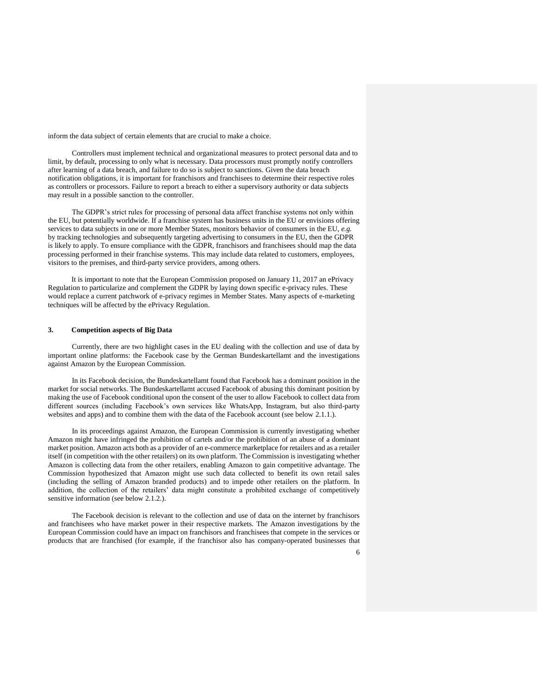inform the data subject of certain elements that are crucial to make a choice.

Controllers must implement technical and organizational measures to protect personal data and to limit, by default, processing to only what is necessary. Data processors must promptly notify controllers after learning of a data breach, and failure to do so is subject to sanctions. Given the data breach notification obligations, it is important for franchisors and franchisees to determine their respective roles as controllers or processors. Failure to report a breach to either a supervisory authority or data subjects may result in a possible sanction to the controller.

The GDPR's strict rules for processing of personal data affect franchise systems not only within the EU, but potentially worldwide. If a franchise system has business units in the EU or envisions offering services to data subjects in one or more Member States, monitors behavior of consumers in the EU, *e.g.* by tracking technologies and subsequently targeting advertising to consumers in the EU, then the GDPR is likely to apply. To ensure compliance with the GDPR, franchisors and franchisees should map the data processing performed in their franchise systems. This may include data related to customers, employees, visitors to the premises, and third-party service providers, among others.

It is important to note that the European Commission proposed on January 11, 2017 an ePrivacy Regulation to particularize and complement the GDPR by laying down specific e-privacy rules. These would replace a current patchwork of e-privacy regimes in Member States. Many aspects of e-marketing techniques will be affected by the ePrivacy Regulation.

### **3. Competition aspects of Big Data**

Currently, there are two highlight cases in the EU dealing with the collection and use of data by important online platforms: the Facebook case by the German Bundeskartellamt and the investigations against Amazon by the European Commission.

In its Facebook decision, the Bundeskartellamt found that Facebook has a dominant position in the market for social networks. The Bundeskartellamt accused Facebook of abusing this dominant position by making the use of Facebook conditional upon the consent of the user to allow Facebook to collect data from different sources (including Facebook's own services like WhatsApp, Instagram, but also third-party websites and apps) and to combine them with the data of the Facebook account (see below 2.1.1.).

In its proceedings against Amazon, the European Commission is currently investigating whether Amazon might have infringed the prohibition of cartels and/or the prohibition of an abuse of a dominant market position. Amazon acts both as a provider of an e-commerce marketplace for retailers and as a retailer itself (in competition with the other retailers) on its own platform. The Commission is investigating whether Amazon is collecting data from the other retailers, enabling Amazon to gain competitive advantage. The Commission hypothesized that Amazon might use such data collected to benefit its own retail sales (including the selling of Amazon branded products) and to impede other retailers on the platform. In addition, the collection of the retailers' data might constitute a prohibited exchange of competitively sensitive information (see below 2.1.2.).

The Facebook decision is relevant to the collection and use of data on the internet by franchisors and franchisees who have market power in their respective markets. The Amazon investigations by the European Commission could have an impact on franchisors and franchisees that compete in the services or products that are franchised (for example, if the franchisor also has company-operated businesses that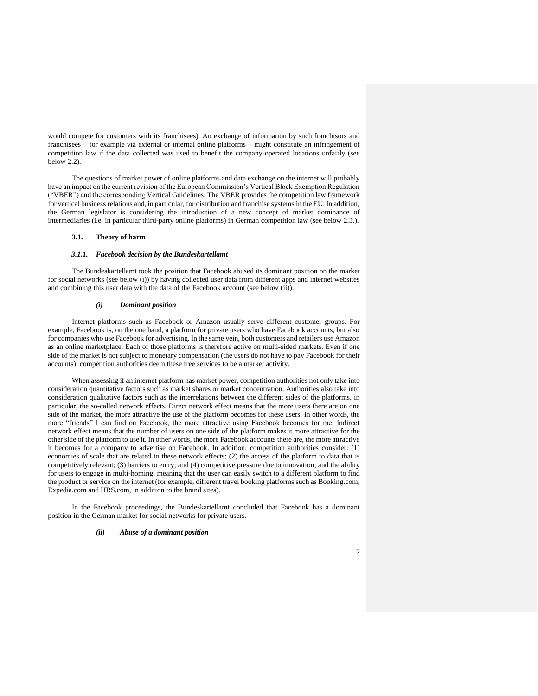would compete for customers with its franchisees). An exchange of information by such franchisors and franchisees – for example via external or internal online platforms – might constitute an infringement of competition law if the data collected was used to benefit the company-operated locations unfairly (see below 2.2).

The questions of market power of online platforms and data exchange on the internet will probably have an impact on the current revision of the European Commission's Vertical Block Exemption Regulation ("VBER") and the corresponding Vertical Guidelines. The VBER provides the competition law framework for vertical business relations and, in particular, for distribution and franchise systems in the EU. In addition, the German legislator is considering the introduction of a new concept of market dominance of intermediaries (i.e. in particular third-party online platforms) in German competition law (see below 2.3.).

# **3.1. Theory of harm**

#### *3.1.1. Facebook decision by the Bundeskartellamt*

The Bundeskartellamt took the position that Facebook abused its dominant position on the market for social networks (see below (i)) by having collected user data from different apps and internet websites and combining this user data with the data of the Facebook account (see below (ii)).

#### *(i) Dominant position*

Internet platforms such as Facebook or Amazon usually serve different customer groups. For example, Facebook is, on the one hand, a platform for private users who have Facebook accounts, but also for companies who use Facebook for advertising. In the same vein, both customers and retailers use Amazon as an online marketplace. Each of those platforms is therefore active on multi-sided markets. Even if one side of the market is not subject to monetary compensation (the users do not have to pay Facebook for their accounts), competition authorities deem these free services to be a market activity.

When assessing if an internet platform has market power, competition authorities not only take into consideration quantitative factors such as market shares or market concentration. Authorities also take into consideration qualitative factors such as the interrelations between the different sides of the platforms, in particular, the so-called network effects. Direct network effect means that the more users there are on one side of the market, the more attractive the use of the platform becomes for these users. In other words, the more "friends" I can find on Facebook, the more attractive using Facebook becomes for me. Indirect network effect means that the number of users on one side of the platform makes it more attractive for the other side of the platform to use it. In other words, the more Facebook accounts there are, the more attractive it becomes for a company to advertise on Facebook. In addition, competition authorities consider: (1) economies of scale that are related to these network effects; (2) the access of the platform to data that is competitively relevant; (3) barriers to entry; and (4) competitive pressure due to innovation; and the ability for users to engage in multi-homing, meaning that the user can easily switch to a different platform to find the product or service on the internet (for example, different travel booking platforms such as Booking.com, Expedia.com and HRS.com, in addition to the brand sites).

In the Facebook proceedings, the Bundeskartellamt concluded that Facebook has a dominant position in the German market for social networks for private users.

### *(ii) Abuse of a dominant position*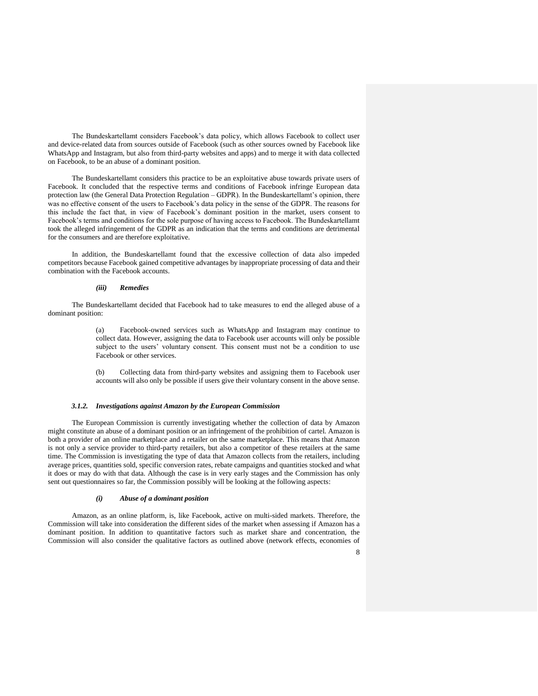The Bundeskartellamt considers Facebook's data policy, which allows Facebook to collect user and device-related data from sources outside of Facebook (such as other sources owned by Facebook like WhatsApp and Instagram, but also from third-party websites and apps) and to merge it with data collected on Facebook, to be an abuse of a dominant position.

The Bundeskartellamt considers this practice to be an exploitative abuse towards private users of Facebook. It concluded that the respective terms and conditions of Facebook infringe European data protection law (the General Data Protection Regulation – GDPR). In the Bundeskartellamt's opinion, there was no effective consent of the users to Facebook's data policy in the sense of the GDPR. The reasons for this include the fact that, in view of Facebook's dominant position in the market, users consent to Facebook's terms and conditions for the sole purpose of having access to Facebook. The Bundeskartellamt took the alleged infringement of the GDPR as an indication that the terms and conditions are detrimental for the consumers and are therefore exploitative.

In addition, the Bundeskartellamt found that the excessive collection of data also impeded competitors because Facebook gained competitive advantages by inappropriate processing of data and their combination with the Facebook accounts.

#### *(iii) Remedies*

The Bundeskartellamt decided that Facebook had to take measures to end the alleged abuse of a dominant position:

> (a) Facebook-owned services such as WhatsApp and Instagram may continue to collect data. However, assigning the data to Facebook user accounts will only be possible subject to the users' voluntary consent. This consent must not be a condition to use Facebook or other services.

> (b) Collecting data from third-party websites and assigning them to Facebook user accounts will also only be possible if users give their voluntary consent in the above sense.

#### *3.1.2. Investigations against Amazon by the European Commission*

The European Commission is currently investigating whether the collection of data by Amazon might constitute an abuse of a dominant position or an infringement of the prohibition of cartel. Amazon is both a provider of an online marketplace and a retailer on the same marketplace. This means that Amazon is not only a service provider to third-party retailers, but also a competitor of these retailers at the same time. The Commission is investigating the type of data that Amazon collects from the retailers, including average prices, quantities sold, specific conversion rates, rebate campaigns and quantities stocked and what it does or may do with that data. Although the case is in very early stages and the Commission has only sent out questionnaires so far, the Commission possibly will be looking at the following aspects:

#### *(i) Abuse of a dominant position*

Amazon, as an online platform, is, like Facebook, active on multi-sided markets. Therefore, the Commission will take into consideration the different sides of the market when assessing if Amazon has a dominant position. In addition to quantitative factors such as market share and concentration, the Commission will also consider the qualitative factors as outlined above (network effects, economies of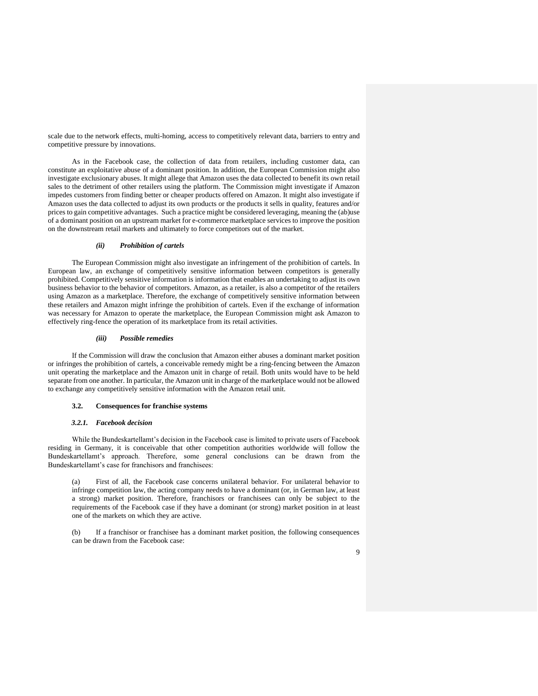scale due to the network effects, multi-homing, access to competitively relevant data, barriers to entry and competitive pressure by innovations.

As in the Facebook case, the collection of data from retailers, including customer data, can constitute an exploitative abuse of a dominant position. In addition, the European Commission might also investigate exclusionary abuses. It might allege that Amazon uses the data collected to benefit its own retail sales to the detriment of other retailers using the platform. The Commission might investigate if Amazon impedes customers from finding better or cheaper products offered on Amazon. It might also investigate if Amazon uses the data collected to adjust its own products or the products it sells in quality, features and/or prices to gain competitive advantages. Such a practice might be considered leveraging, meaning the (ab)use of a dominant position on an upstream market for e-commerce marketplace services to improve the position on the downstream retail markets and ultimately to force competitors out of the market.

#### *(ii) Prohibition of cartels*

The European Commission might also investigate an infringement of the prohibition of cartels. In European law, an exchange of competitively sensitive information between competitors is generally prohibited. Competitively sensitive information is information that enables an undertaking to adjust its own business behavior to the behavior of competitors. Amazon, as a retailer, is also a competitor of the retailers using Amazon as a marketplace. Therefore, the exchange of competitively sensitive information between these retailers and Amazon might infringe the prohibition of cartels. Even if the exchange of information was necessary for Amazon to operate the marketplace, the European Commission might ask Amazon to effectively ring-fence the operation of its marketplace from its retail activities.

#### *(iii) Possible remedies*

If the Commission will draw the conclusion that Amazon either abuses a dominant market position or infringes the prohibition of cartels, a conceivable remedy might be a ring-fencing between the Amazon unit operating the marketplace and the Amazon unit in charge of retail. Both units would have to be held separate from one another. In particular, the Amazon unit in charge of the marketplace would not be allowed to exchange any competitively sensitive information with the Amazon retail unit.

#### **3.2. Consequences for franchise systems**

## *3.2.1. Facebook decision*

While the Bundeskartellamt's decision in the Facebook case is limited to private users of Facebook residing in Germany, it is conceivable that other competition authorities worldwide will follow the Bundeskartellamt's approach. Therefore, some general conclusions can be drawn from the Bundeskartellamt's case for franchisors and franchisees:

(a) First of all, the Facebook case concerns unilateral behavior. For unilateral behavior to infringe competition law, the acting company needs to have a dominant (or, in German law, at least a strong) market position. Therefore, franchisors or franchisees can only be subject to the requirements of the Facebook case if they have a dominant (or strong) market position in at least one of the markets on which they are active.

(b) If a franchisor or franchisee has a dominant market position, the following consequences can be drawn from the Facebook case: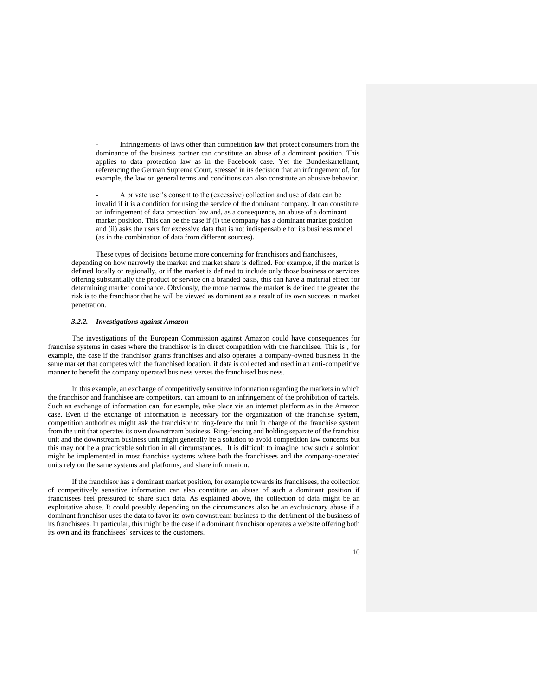Infringements of laws other than competition law that protect consumers from the dominance of the business partner can constitute an abuse of a dominant position. This applies to data protection law as in the Facebook case. Yet the Bundeskartellamt, referencing the German Supreme Court, stressed in its decision that an infringement of, for example, the law on general terms and conditions can also constitute an abusive behavior.

- A private user's consent to the (excessive) collection and use of data can be invalid if it is a condition for using the service of the dominant company. It can constitute an infringement of data protection law and, as a consequence, an abuse of a dominant market position. This can be the case if (i) the company has a dominant market position and (ii) asks the users for excessive data that is not indispensable for its business model (as in the combination of data from different sources).

These types of decisions become more concerning for franchisors and franchisees, depending on how narrowly the market and market share is defined. For example, if the market is defined locally or regionally, or if the market is defined to include only those business or services offering substantially the product or service on a branded basis, this can have a material effect for determining market dominance. Obviously, the more narrow the market is defined the greater the risk is to the franchisor that he will be viewed as dominant as a result of its own success in market penetration.

### *3.2.2. Investigations against Amazon*

The investigations of the European Commission against Amazon could have consequences for franchise systems in cases where the franchisor is in direct competition with the franchisee. This is , for example, the case if the franchisor grants franchises and also operates a company-owned business in the same market that competes with the franchised location, if data is collected and used in an anti-competitive manner to benefit the company operated business verses the franchised business.

In this example, an exchange of competitively sensitive information regarding the markets in which the franchisor and franchisee are competitors, can amount to an infringement of the prohibition of cartels. Such an exchange of information can, for example, take place via an internet platform as in the Amazon case. Even if the exchange of information is necessary for the organization of the franchise system, competition authorities might ask the franchisor to ring-fence the unit in charge of the franchise system from the unit that operates its own downstream business. Ring-fencing and holding separate of the franchise unit and the downstream business unit might generally be a solution to avoid competition law concerns but this may not be a practicable solution in all circumstances. It is difficult to imagine how such a solution might be implemented in most franchise systems where both the franchisees and the company-operated units rely on the same systems and platforms, and share information.

If the franchisor has a dominant market position, for example towards its franchisees, the collection of competitively sensitive information can also constitute an abuse of such a dominant position if franchisees feel pressured to share such data. As explained above, the collection of data might be an exploitative abuse. It could possibly depending on the circumstances also be an exclusionary abuse if a dominant franchisor uses the data to favor its own downstream business to the detriment of the business of its franchisees. In particular, this might be the case if a dominant franchisor operates a website offering both its own and its franchisees' services to the customers.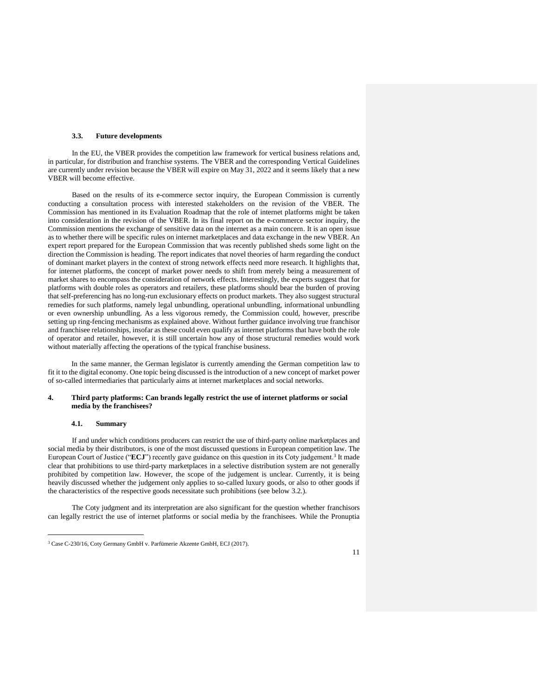#### **3.3. Future developments**

In the EU, the VBER provides the competition law framework for vertical business relations and, in particular, for distribution and franchise systems. The VBER and the corresponding Vertical Guidelines are currently under revision because the VBER will expire on May 31, 2022 and it seems likely that a new VBER will become effective.

Based on the results of its e-commerce sector inquiry, the European Commission is currently conducting a consultation process with interested stakeholders on the revision of the VBER. The Commission has mentioned in its Evaluation Roadmap that the role of internet platforms might be taken into consideration in the revision of the VBER. In its final report on the e-commerce sector inquiry, the Commission mentions the exchange of sensitive data on the internet as a main concern. It is an open issue as to whether there will be specific rules on internet marketplaces and data exchange in the new VBER. An expert report prepared for the European Commission that was recently published sheds some light on the direction the Commission is heading. The report indicates that novel theories of harm regarding the conduct of dominant market players in the context of strong network effects need more research. It highlights that, for internet platforms, the concept of market power needs to shift from merely being a measurement of market shares to encompass the consideration of network effects. Interestingly, the experts suggest that for platforms with double roles as operators and retailers, these platforms should bear the burden of proving that self-preferencing has no long-run exclusionary effects on product markets. They also suggest structural remedies for such platforms, namely legal unbundling, operational unbundling, informational unbundling or even ownership unbundling. As a less vigorous remedy, the Commission could, however, prescribe setting up ring-fencing mechanisms as explained above. Without further guidance involving true franchisor and franchisee relationships, insofar as these could even qualify as internet platforms that have both the role of operator and retailer, however, it is still uncertain how any of those structural remedies would work without materially affecting the operations of the typical franchise business.

In the same manner, the German legislator is currently amending the German competition law to fit it to the digital economy. One topic being discussed is the introduction of a new concept of market power of so-called intermediaries that particularly aims at internet marketplaces and social networks.

### **4. Third party platforms: Can brands legally restrict the use of internet platforms or social media by the franchisees?**

### **4.1. Summary**

 $\overline{a}$ 

If and under which conditions producers can restrict the use of third-party online marketplaces and social media by their distributors, is one of the most discussed questions in European competition law. The European Court of Justice ("**ECJ**") recently gave guidance on this question in its Coty judgement.<sup>3</sup> It made clear that prohibitions to use third-party marketplaces in a selective distribution system are not generally prohibited by competition law. However, the scope of the judgement is unclear. Currently, it is being heavily discussed whether the judgement only applies to so-called luxury goods, or also to other goods if the characteristics of the respective goods necessitate such prohibitions (see below 3.2.).

The Coty judgment and its interpretation are also significant for the question whether franchisors can legally restrict the use of internet platforms or social media by the franchisees. While the Pronuptia

<sup>3</sup> Case C-230/16, Coty Germany GmbH v. Parfümerie Akzente GmbH, ECJ (2017).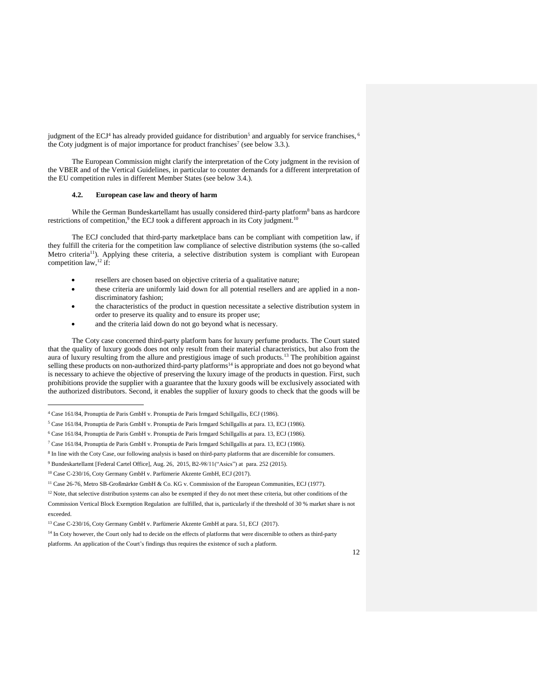judgment of the ECJ<sup>4</sup> has already provided guidance for distribution<sup>5</sup> and arguably for service franchises, <sup>6</sup> the Coty judgment is of major importance for product franchises<sup>7</sup> (see below 3.3.).

The European Commission might clarify the interpretation of the Coty judgment in the revision of the VBER and of the Vertical Guidelines, in particular to counter demands for a different interpretation of the EU competition rules in different Member States (see below 3.4.).

### **4.2. European case law and theory of harm**

While the German Bundeskartellamt has usually considered third-party platform<sup>8</sup> bans as hardcore restrictions of competition,<sup>9</sup> the ECJ took a different approach in its Coty judgment.<sup>10</sup>

The ECJ concluded that third-party marketplace bans can be compliant with competition law, if they fulfill the criteria for the competition law compliance of selective distribution systems (the so-called Metro criteria<sup>11</sup>). Applying these criteria, a selective distribution system is compliant with European competition law,<sup>12</sup> if:

- resellers are chosen based on objective criteria of a qualitative nature;
- these criteria are uniformly laid down for all potential resellers and are applied in a nondiscriminatory fashion;
- the characteristics of the product in question necessitate a selective distribution system in order to preserve its quality and to ensure its proper use;
- and the criteria laid down do not go beyond what is necessary.

The Coty case concerned third-party platform bans for luxury perfume products. The Court stated that the quality of luxury goods does not only result from their material characteristics, but also from the aura of luxury resulting from the allure and prestigious image of such products.<sup>13</sup> The prohibition against selling these products on non-authorized third-party platforms<sup>14</sup> is appropriate and does not go beyond what is necessary to achieve the objective of preserving the luxury image of the products in question. First, such prohibitions provide the supplier with a guarantee that the luxury goods will be exclusively associated with the authorized distributors. Second, it enables the supplier of luxury goods to check that the goods will be

j

<sup>4</sup> Case 161/84, Pronuptia de Paris GmbH v. Pronuptia de Paris Irmgard Schillgallis, ECJ (1986).

<sup>5</sup> Case 161/84, Pronuptia de Paris GmbH v. Pronuptia de Paris Irmgard Schillgallis at para. 13, ECJ (1986).

<sup>6</sup> Case 161/84, Pronuptia de Paris GmbH v. Pronuptia de Paris Irmgard Schillgallis at para. 13, ECJ (1986).

<sup>7</sup> Case 161/84, Pronuptia de Paris GmbH v. Pronuptia de Paris Irmgard Schillgallis at para. 13, ECJ (1986).

<sup>&</sup>lt;sup>8</sup> In line with the Coty Case, our following analysis is based on third-party platforms that are discernible for consumers.

<sup>9</sup> Bundeskartellamt [Federal Cartel Office], Aug. 26, 2015, B2-98/11("Asics") at para. 252 (2015).

<sup>10</sup> Case C-230/16, Coty Germany GmbH v. Parfümerie Akzente GmbH, ECJ (2017).

<sup>11</sup> Case 26-76, Metro SB-Großmärkte GmbH & Co. KG v. Commission of the European Communities, ECJ (1977).

<sup>&</sup>lt;sup>12</sup> Note, that selective distribution systems can also be exempted if they do not meet these criteria, but other conditions of the

Commission Vertical Block Exemption Regulation are fulfilled, that is, particularly if the threshold of 30 % market share is not exceeded.

<sup>13</sup> Case C-230/16, Coty Germany GmbH v. Parfümerie Akzente GmbH at para. 51, ECJ (2017).

<sup>&</sup>lt;sup>14</sup> In Coty however, the Court only had to decide on the effects of platforms that were discernible to others as third-party platforms. An application of the Court's findings thus requires the existence of such a platform.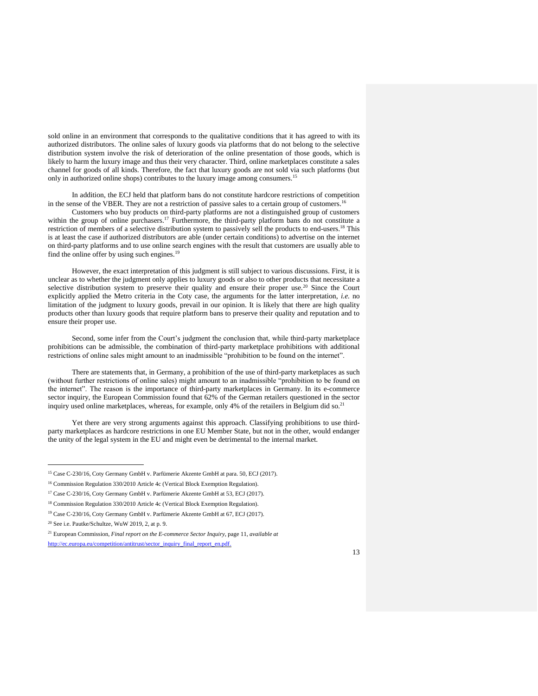sold online in an environment that corresponds to the qualitative conditions that it has agreed to with its authorized distributors. The online sales of luxury goods via platforms that do not belong to the selective distribution system involve the risk of deterioration of the online presentation of those goods, which is likely to harm the luxury image and thus their very character. Third, online marketplaces constitute a sales channel for goods of all kinds. Therefore, the fact that luxury goods are not sold via such platforms (but only in authorized online shops) contributes to the luxury image among consumers.<sup>15</sup>

In addition, the ECJ held that platform bans do not constitute hardcore restrictions of competition in the sense of the VBER. They are not a restriction of passive sales to a certain group of customers.<sup>16</sup>

Customers who buy products on third-party platforms are not a distinguished group of customers within the group of online purchasers.<sup>17</sup> Furthermore, the third-party platform bans do not constitute a restriction of members of a selective distribution system to passively sell the products to end-users.<sup>18</sup> This is at least the case if authorized distributors are able (under certain conditions) to advertise on the internet on third-party platforms and to use online search engines with the result that customers are usually able to find the online offer by using such engines.<sup>19</sup>

However, the exact interpretation of this judgment is still subject to various discussions. First, it is unclear as to whether the judgment only applies to luxury goods or also to other products that necessitate a selective distribution system to preserve their quality and ensure their proper use.<sup>20</sup> Since the Court explicitly applied the Metro criteria in the Coty case, the arguments for the latter interpretation, *i.e.* no limitation of the judgment to luxury goods, prevail in our opinion. It is likely that there are high quality products other than luxury goods that require platform bans to preserve their quality and reputation and to ensure their proper use.

Second, some infer from the Court's judgment the conclusion that, while third-party marketplace prohibitions can be admissible, the combination of third-party marketplace prohibitions with additional restrictions of online sales might amount to an inadmissible "prohibition to be found on the internet".

There are statements that, in Germany, a prohibition of the use of third-party marketplaces as such (without further restrictions of online sales) might amount to an inadmissible "prohibition to be found on the internet". The reason is the importance of third-party marketplaces in Germany. In its e-commerce sector inquiry, the European Commission found that 62% of the German retailers questioned in the sector inquiry used online marketplaces, whereas, for example, only 4% of the retailers in Belgium did so.<sup>21</sup>

Yet there are very strong arguments against this approach. Classifying prohibitions to use thirdparty marketplaces as hardcore restrictions in one EU Member State, but not in the other, would endanger the unity of the legal system in the EU and might even be detrimental to the internal market.

j

<sup>15</sup> Case C-230/16, Coty Germany GmbH v. Parfümerie Akzente GmbH at para. 50, ECJ (2017).

<sup>16</sup> Commission Regulation 330/2010 Article 4c (Vertical Block Exemption Regulation).

<sup>17</sup> Case C-230/16, Coty Germany GmbH v. Parfümerie Akzente GmbH at 53, ECJ (2017).

<sup>18</sup> Commission Regulation 330/2010 Article 4c (Vertical Block Exemption Regulation).

<sup>19</sup> Case C-230/16, Coty Germany GmbH v. Parfümerie Akzente GmbH at 67, ECJ (2017).

<sup>20</sup> See i.e. Pautke/Schultze, WuW 2019, 2, at p. 9.

<sup>21</sup> European Commission, *Final report on the E-commerce Sector Inquiry*, page 11, *available at* [http://ec.europa.eu/competition/antitrust/sector\\_inquiry\\_final\\_report\\_en.pdf.](http://ec.europa.eu/competition/antitrust/sector_inquiry_final_report_en.pdf)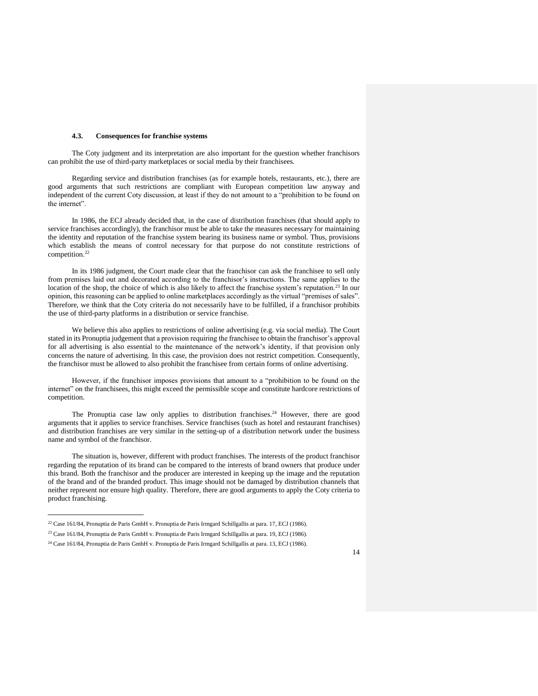#### **4.3. Consequences for franchise systems**

The Coty judgment and its interpretation are also important for the question whether franchisors can prohibit the use of third-party marketplaces or social media by their franchisees.

Regarding service and distribution franchises (as for example hotels, restaurants, etc.), there are good arguments that such restrictions are compliant with European competition law anyway and independent of the current Coty discussion, at least if they do not amount to a "prohibition to be found on the internet".

In 1986, the ECJ already decided that, in the case of distribution franchises (that should apply to service franchises accordingly), the franchisor must be able to take the measures necessary for maintaining the identity and reputation of the franchise system bearing its business name or symbol. Thus, provisions which establish the means of control necessary for that purpose do not constitute restrictions of competition.<sup>22</sup>

In its 1986 judgment, the Court made clear that the franchisor can ask the franchisee to sell only from premises laid out and decorated according to the franchisor's instructions. The same applies to the location of the shop, the choice of which is also likely to affect the franchise system's reputation.<sup>23</sup> In our opinion, this reasoning can be applied to online marketplaces accordingly as the virtual "premises of sales". Therefore, we think that the Coty criteria do not necessarily have to be fulfilled, if a franchisor prohibits the use of third-party platforms in a distribution or service franchise.

We believe this also applies to restrictions of online advertising (e.g. via social media). The Court stated in its Pronuptia judgement that a provision requiring the franchisee to obtain the franchisor's approval for all advertising is also essential to the maintenance of the network's identity, if that provision only concerns the nature of advertising. In this case, the provision does not restrict competition. Consequently, the franchisor must be allowed to also prohibit the franchisee from certain forms of online advertising.

However, if the franchisor imposes provisions that amount to a "prohibition to be found on the internet" on the franchisees, this might exceed the permissible scope and constitute hardcore restrictions of competition.

The Pronuptia case law only applies to distribution franchises. <sup>24</sup> However, there are good arguments that it applies to service franchises. Service franchises (such as hotel and restaurant franchises) and distribution franchises are very similar in the setting-up of a distribution network under the business name and symbol of the franchisor.

The situation is, however, different with product franchises. The interests of the product franchisor regarding the reputation of its brand can be compared to the interests of brand owners that produce under this brand. Both the franchisor and the producer are interested in keeping up the image and the reputation of the brand and of the branded product. This image should not be damaged by distribution channels that neither represent nor ensure high quality. Therefore, there are good arguments to apply the Coty criteria to product franchising.

 $\overline{a}$ 

<sup>22</sup> Case 161/84, Pronuptia de Paris GmbH v. Pronuptia de Paris Irmgard Schillgallis at para. 17, ECJ (1986).

<sup>23</sup> Case 161/84, Pronuptia de Paris GmbH v. Pronuptia de Paris Irmgard Schillgallis at para. 19, ECJ (1986).

<sup>24</sup> Case 161/84, Pronuptia de Paris GmbH v. Pronuptia de Paris Irmgard Schillgallis at para. 13, ECJ (1986).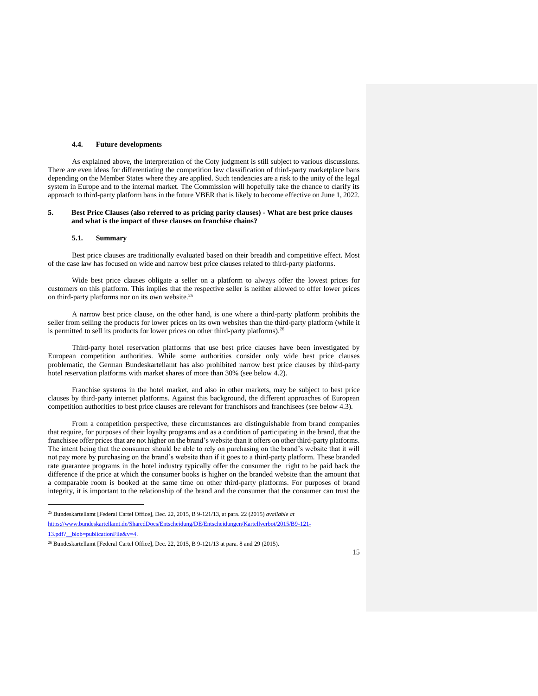#### **4.4. Future developments**

As explained above, the interpretation of the Coty judgment is still subject to various discussions. There are even ideas for differentiating the competition law classification of third-party marketplace bans depending on the Member States where they are applied. Such tendencies are a risk to the unity of the legal system in Europe and to the internal market. The Commission will hopefully take the chance to clarify its approach to third-party platform bans in the future VBER that is likely to become effective on June 1, 2022.

### **5. Best Price Clauses (also referred to as pricing parity clauses) - What are best price clauses and what is the impact of these clauses on franchise chains?**

#### **5.1. Summary**

 $\overline{a}$ 

Best price clauses are traditionally evaluated based on their breadth and competitive effect. Most of the case law has focused on wide and narrow best price clauses related to third-party platforms.

Wide best price clauses obligate a seller on a platform to always offer the lowest prices for customers on this platform. This implies that the respective seller is neither allowed to offer lower prices on third-party platforms nor on its own website.<sup>25</sup>

A narrow best price clause, on the other hand, is one where a third-party platform prohibits the seller from selling the products for lower prices on its own websites than the third-party platform (while it is permitted to sell its products for lower prices on other third-party platforms).<sup>26</sup>

Third-party hotel reservation platforms that use best price clauses have been investigated by European competition authorities. While some authorities consider only wide best price clauses problematic, the German Bundeskartellamt has also prohibited narrow best price clauses by third-party hotel reservation platforms with market shares of more than 30% (see below 4.2).

Franchise systems in the hotel market, and also in other markets, may be subject to best price clauses by third-party internet platforms. Against this background, the different approaches of European competition authorities to best price clauses are relevant for franchisors and franchisees (see below 4.3).

From a competition perspective, these circumstances are distinguishable from brand companies that require, for purposes of their loyalty programs and as a condition of participating in the brand, that the franchisee offer prices that are not higher on the brand's website than it offers on other third-party platforms. The intent being that the consumer should be able to rely on purchasing on the brand's website that it will not pay more by purchasing on the brand's website than if it goes to a third-party platform. These branded rate guarantee programs in the hotel industry typically offer the consumer the right to be paid back the difference if the price at which the consumer books is higher on the branded website than the amount that a comparable room is booked at the same time on other third-party platforms. For purposes of brand integrity, it is important to the relationship of the brand and the consumer that the consumer can trust the

<sup>25</sup> Bundeskartellamt [Federal Cartel Office], Dec. 22, 2015, B 9-121/13, at para. 22 (2015) *available at* [https://www.bundeskartellamt.de/SharedDocs/Entscheidung/DE/Entscheidungen/Kartellverbot/2015/B9-121-](https://www.bundeskartellamt.de/SharedDocs/Entscheidung/DE/Entscheidungen/Kartellverbot/2015/B9-121-13.pdf?__blob=publicationFile&v=4) [13.pdf?\\_\\_blob=publicationFile&v=4.](https://www.bundeskartellamt.de/SharedDocs/Entscheidung/DE/Entscheidungen/Kartellverbot/2015/B9-121-13.pdf?__blob=publicationFile&v=4)

 $26$  Bundeskartellamt [Federal Cartel Office], Dec. 22, 2015, B 9-121/13 at para. 8 and 29 (2015).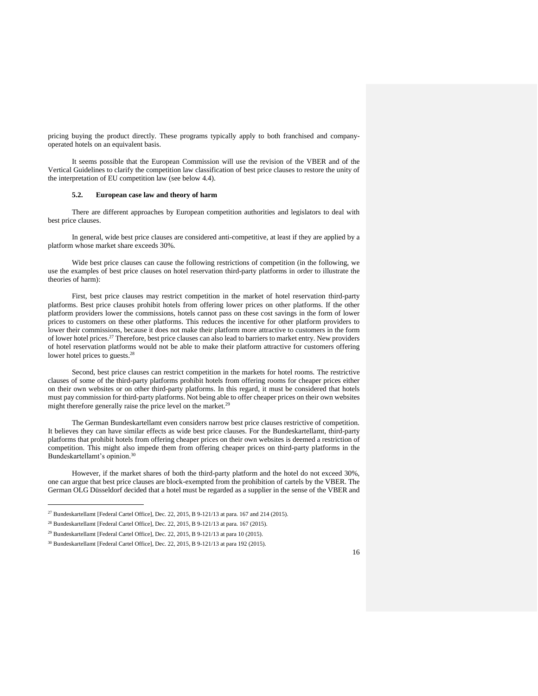pricing buying the product directly. These programs typically apply to both franchised and companyoperated hotels on an equivalent basis.

It seems possible that the European Commission will use the revision of the VBER and of the Vertical Guidelines to clarify the competition law classification of best price clauses to restore the unity of the interpretation of EU competition law (see below 4.4).

### **5.2. European case law and theory of harm**

There are different approaches by European competition authorities and legislators to deal with best price clauses.

In general, wide best price clauses are considered anti-competitive, at least if they are applied by a platform whose market share exceeds 30%.

Wide best price clauses can cause the following restrictions of competition (in the following, we use the examples of best price clauses on hotel reservation third-party platforms in order to illustrate the theories of harm):

First, best price clauses may restrict competition in the market of hotel reservation third-party platforms. Best price clauses prohibit hotels from offering lower prices on other platforms. If the other platform providers lower the commissions, hotels cannot pass on these cost savings in the form of lower prices to customers on these other platforms. This reduces the incentive for other platform providers to lower their commissions, because it does not make their platform more attractive to customers in the form of lower hotel prices.<sup>27</sup> Therefore, best price clauses can also lead to barriers to market entry. New providers of hotel reservation platforms would not be able to make their platform attractive for customers offering lower hotel prices to guests.<sup>28</sup>

Second, best price clauses can restrict competition in the markets for hotel rooms. The restrictive clauses of some of the third-party platforms prohibit hotels from offering rooms for cheaper prices either on their own websites or on other third-party platforms. In this regard, it must be considered that hotels must pay commission for third-party platforms. Not being able to offer cheaper prices on their own websites might therefore generally raise the price level on the market.<sup>29</sup>

The German Bundeskartellamt even considers narrow best price clauses restrictive of competition. It believes they can have similar effects as wide best price clauses. For the Bundeskartellamt, third-party platforms that prohibit hotels from offering cheaper prices on their own websites is deemed a restriction of competition. This might also impede them from offering cheaper prices on third-party platforms in the Bundeskartellamt's opinion.<sup>30</sup>

However, if the market shares of both the third-party platform and the hotel do not exceed 30%, one can argue that best price clauses are block-exempted from the prohibition of cartels by the VBER. The German OLG Düsseldorf decided that a hotel must be regarded as a supplier in the sense of the VBER and

 $\overline{a}$ 

 $^{27}$  Bundeskartellamt [Federal Cartel Office], Dec. 22, 2015, B 9-121/13 at para. 167 and 214 (2015).

<sup>28</sup> Bundeskartellamt [Federal Cartel Office], Dec. 22, 2015, B 9-121/13 at para. 167 (2015).

<sup>29</sup> Bundeskartellamt [Federal Cartel Office], Dec. 22, 2015, B 9-121/13 at para 10 (2015).

<sup>30</sup> Bundeskartellamt [Federal Cartel Office], Dec. 22, 2015, B 9-121/13 at para 192 (2015).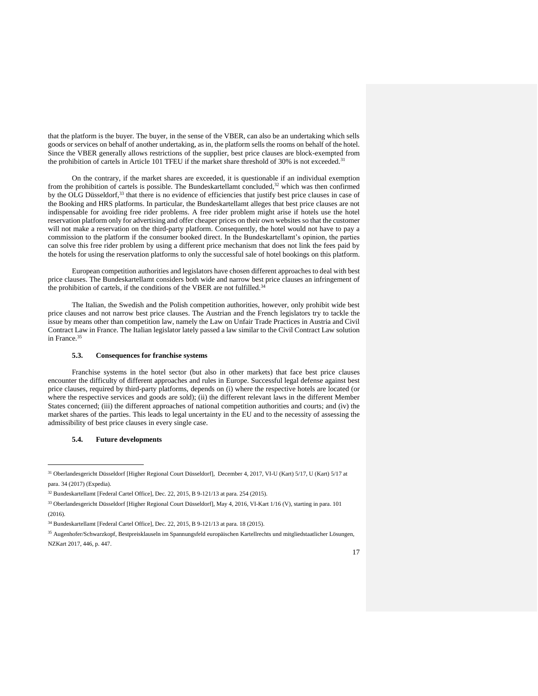that the platform is the buyer. The buyer, in the sense of the VBER, can also be an undertaking which sells goods or services on behalf of another undertaking, as in, the platform sells the rooms on behalf of the hotel. Since the VBER generally allows restrictions of the supplier, best price clauses are block-exempted from the prohibition of cartels in Article 101 TFEU if the market share threshold of 30% is not exceeded.<sup>31</sup>

On the contrary, if the market shares are exceeded, it is questionable if an individual exemption from the prohibition of cartels is possible. The Bundeskartellamt concluded,<sup>32</sup> which was then confirmed by the OLG Düsseldorf,<sup>33</sup> that there is no evidence of efficiencies that justify best price clauses in case of the Booking and HRS platforms. In particular, the Bundeskartellamt alleges that best price clauses are not indispensable for avoiding free rider problems. A free rider problem might arise if hotels use the hotel reservation platform only for advertising and offer cheaper prices on their own websites so that the customer will not make a reservation on the third-party platform. Consequently, the hotel would not have to pay a commission to the platform if the consumer booked direct. In the Bundeskartellamt's opinion, the parties can solve this free rider problem by using a different price mechanism that does not link the fees paid by the hotels for using the reservation platforms to only the successful sale of hotel bookings on this platform.

European competition authorities and legislators have chosen different approaches to deal with best price clauses. The Bundeskartellamt considers both wide and narrow best price clauses an infringement of the prohibition of cartels, if the conditions of the VBER are not fulfilled.<sup>3</sup>

The Italian, the Swedish and the Polish competition authorities, however, only prohibit wide best price clauses and not narrow best price clauses. The Austrian and the French legislators try to tackle the issue by means other than competition law, namely the Law on Unfair Trade Practices in Austria and Civil Contract Law in France. The Italian legislator lately passed a law similar to the Civil Contract Law solution in France.<sup>35</sup>

# **5.3. Consequences for franchise systems**

Franchise systems in the hotel sector (but also in other markets) that face best price clauses encounter the difficulty of different approaches and rules in Europe. Successful legal defense against best price clauses, required by third-party platforms, depends on (i) where the respective hotels are located (or where the respective services and goods are sold); (ii) the different relevant laws in the different Member States concerned; (iii) the different approaches of national competition authorities and courts; and (iv) the market shares of the parties. This leads to legal uncertainty in the EU and to the necessity of assessing the admissibility of best price clauses in every single case.

### **5.4. Future developments**

j

<sup>35</sup> Augenhofer/Schwarzkopf, Bestpreisklauseln im Spannungsfeld europäischen Kartellrechts und mitgliedstaatlicher Lösungen, NZKart 2017, 446, p. 447.



<sup>31</sup> Oberlandesgericht Düsseldorf [Higher Regional Court Düsseldorf], December 4, 2017, VI-U (Kart) 5/17, U (Kart) 5/17 at para. 34 (2017) (Expedia).

<sup>32</sup> Bundeskartellamt [Federal Cartel Office], Dec. 22, 2015, B 9-121/13 at para. 254 (2015).

<sup>33</sup> Oberlandesgericht Düsseldorf [Higher Regional Court Düsseldorf], May 4, 2016, VI-Kart 1/16 (V), starting in para. 101  $(2016)$ 

<sup>34</sup> Bundeskartellamt [Federal Cartel Office], Dec. 22, 2015, B 9-121/13 at para. 18 (2015).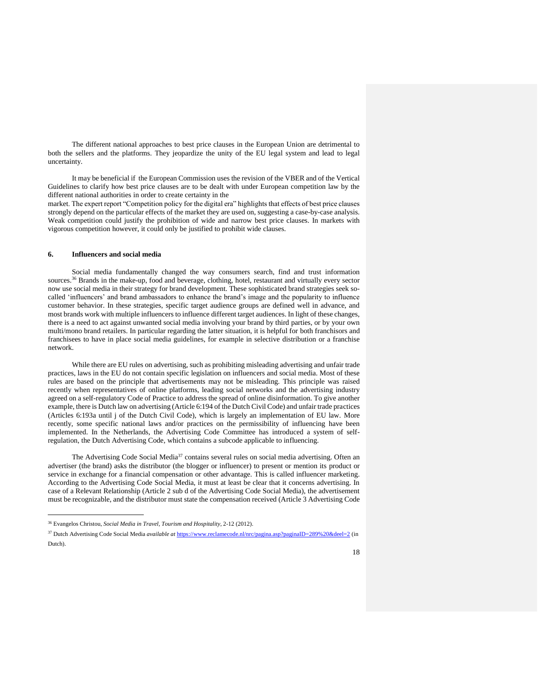The different national approaches to best price clauses in the European Union are detrimental to both the sellers and the platforms. They jeopardize the unity of the EU legal system and lead to legal uncertainty.

It may be beneficial if the European Commission uses the revision of the VBER and of the Vertical Guidelines to clarify how best price clauses are to be dealt with under European competition law by the different national authorities in order to create certainty in the

market. The expert report "Competition policy for the digital era" highlights that effects of best price clauses strongly depend on the particular effects of the market they are used on, suggesting a case-by-case analysis. Weak competition could justify the prohibition of wide and narrow best price clauses. In markets with vigorous competition however, it could only be justified to prohibit wide clauses.

#### **6. Influencers and social media**

Social media fundamentally changed the way consumers search, find and trust information sources.<sup>36</sup> Brands in the make-up, food and beverage, clothing, hotel, restaurant and virtually every sector now use social media in their strategy for brand development. These sophisticated brand strategies seek socalled 'influencers' and brand ambassadors to enhance the brand's image and the popularity to influence customer behavior. In these strategies, specific target audience groups are defined well in advance, and most brands work with multiple influencers to influence different target audiences. In light of these changes, there is a need to act against unwanted social media involving your brand by third parties, or by your own multi/mono brand retailers. In particular regarding the latter situation, it is helpful for both franchisors and franchisees to have in place social media guidelines, for example in selective distribution or a franchise network.

While there are EU rules on advertising, such as prohibiting misleading advertising and unfair trade practices, laws in the EU do not contain specific legislation on influencers and social media. Most of these rules are based on the principle that advertisements may not be misleading. This principle was raised recently when representatives of online platforms, leading social networks and the advertising industry agreed on a self-regulatory Code of Practice to address the spread of online disinformation. To give another example, there is Dutch law on advertising (Article 6:194 of the Dutch Civil Code) and unfair trade practices (Articles 6:193a until j of the Dutch Civil Code), which is largely an implementation of EU law. More recently, some specific national laws and/or practices on the permissibility of influencing have been implemented. In the Netherlands, the Advertising Code Committee has introduced a system of selfregulation, the Dutch Advertising Code, which contains a subcode applicable to influencing.

The Advertising Code Social Media<sup>37</sup> contains several rules on social media advertising. Often an advertiser (the brand) asks the distributor (the blogger or influencer) to present or mention its product or service in exchange for a financial compensation or other advantage. This is called influencer marketing. According to the Advertising Code Social Media, it must at least be clear that it concerns advertising. In case of a Relevant Relationship (Article 2 sub d of the Advertising Code Social Media), the advertisement must be recognizable, and the distributor must state the compensation received (Article 3 Advertising Code

 $\overline{a}$ 

<sup>36</sup> Evangelos Christou, *Social Media in Travel, Tourism and Hospitality*, 2-12 (2012).

<sup>37</sup> Dutch Advertising Code Social Media *available at* <https://www.reclamecode.nl/nrc/pagina.asp?paginaID=289%20&deel=2> (in Dutch).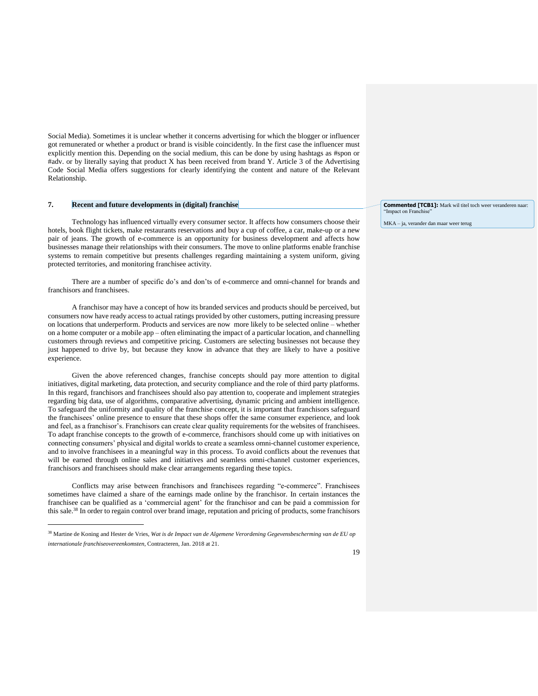Social Media). Sometimes it is unclear whether it concerns advertising for which the blogger or influencer got remunerated or whether a product or brand is visible coincidently. In the first case the influencer must explicitly mention this. Depending on the social medium, this can be done by using hashtags as #spon or #adv. or by literally saying that product X has been received from brand Y. Article 3 of the Advertising Code Social Media offers suggestions for clearly identifying the content and nature of the Relevant Relationship.

# **7. Recent and future developments in (digital) franchise**

Technology has influenced virtually every consumer sector. It affects how consumers choose their hotels, book flight tickets, make restaurants reservations and buy a cup of coffee, a car, make-up or a new pair of jeans. The growth of e-commerce is an opportunity for business development and affects how businesses manage their relationships with their consumers. The move to online platforms enable franchise systems to remain competitive but presents challenges regarding maintaining a system uniform, giving protected territories, and monitoring franchisee activity.

There are a number of specific do's and don'ts of e-commerce and omni-channel for brands and franchisors and franchisees.

A franchisor may have a concept of how its branded services and products should be perceived, but consumers now have ready access to actual ratings provided by other customers, putting increasing pressure on locations that underperform. Products and services are now more likely to be selected online – whether on a home computer or a mobile app – often eliminating the impact of a particular location, and channelling customers through reviews and competitive pricing. Customers are selecting businesses not because they just happened to drive by, but because they know in advance that they are likely to have a positive experience.

Given the above referenced changes, franchise concepts should pay more attention to digital initiatives, digital marketing, data protection, and security compliance and the role of third party platforms. In this regard, franchisors and franchisees should also pay attention to, cooperate and implement strategies regarding big data, use of algorithms, comparative advertising, dynamic pricing and ambient intelligence. To safeguard the uniformity and quality of the franchise concept, it is important that franchisors safeguard the franchisees' online presence to ensure that these shops offer the same consumer experience, and look and feel, as a franchisor's. Franchisors can create clear quality requirements for the websites of franchisees. To adapt franchise concepts to the growth of e-commerce, franchisors should come up with initiatives on connecting consumers' physical and digital worlds to create a seamless omni-channel customer experience, and to involve franchisees in a meaningful way in this process. To avoid conflicts about the revenues that will be earned through online sales and initiatives and seamless omni-channel customer experiences, franchisors and franchisees should make clear arrangements regarding these topics.

Conflicts may arise between franchisors and franchisees regarding "e-commerce". Franchisees sometimes have claimed a share of the earnings made online by the franchisor. In certain instances the franchisee can be qualified as a 'commercial agent' for the franchisor and can be paid a commission for this sale.<sup>38</sup> In order to regain control over brand image, reputation and pricing of products, some franchisors

j

**Commented [TCB1]:** Mark wil titel toch weer veranderen naar: "Impact on Franchise"

MKA – ja, verander dan maar weer terug

<sup>38</sup> Martine de Koning and Hester de Vries, *Wat is de Impact van de Algemene Verordening Gegevensbescherming van de EU op internationale franchiseovereenkomsten*, Contracteren, Jan. 2018 at 21.